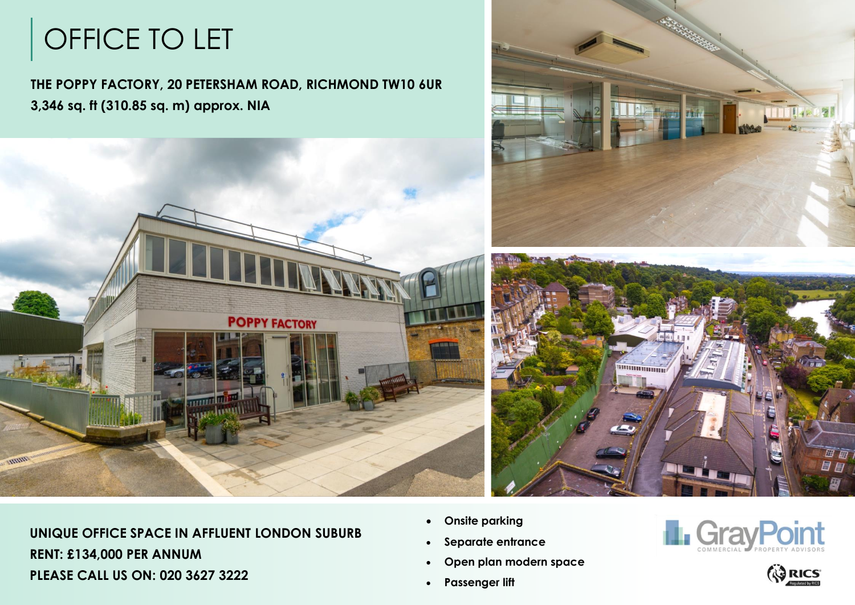# OFFICE TO LET



**UNIQUE OFFICE SPACE IN AFFLUENT LONDON SUBURB RENT: £134,000 PER ANNUM PLEASE CALL US ON: 020 3627 3222**

- **Onsite parking**
- **Separate entrance**
- **Open plan modern space**
- **Passenger lift**